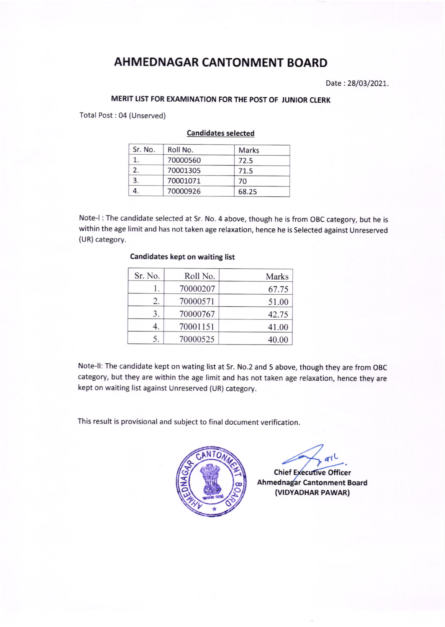## AHMEDNAGAR CANTONMENT BOARD

Date: 28/03/2021.

### MERIT LIST FOR EXAMINATION FOR THE POST OF JUNIOR CLERK

Total Post : 04 (Unserved)

#### Candidates selected

| Sr. No. | Roll No. | <b>Marks</b> |  |
|---------|----------|--------------|--|
| 1.      | 70000560 | 72.5         |  |
| 2.      | 70001305 | 71.5         |  |
| 3.      | 70001071 | 70           |  |
|         | 70000926 | 68.25        |  |

Note-I : The candidate selected at Sr. No. 4 above, though he is from OBC category, but he is within the age limit and has not taken age relaxation, hence he is Selected against Unreserved (UR) category.

### Candidates kept on waiting list

| Sr. No. | Roll No. | <b>Marks</b> |
|---------|----------|--------------|
|         | 70000207 | 67.75        |
| 2.      | 70000571 | 51.00        |
| 3.      | 70000767 | 42.75        |
| 4.      | 70001151 | 41.00        |
|         | 70000525 | 40.00        |

Note-ll: The candidate kept on wating list at Sr. No.2 and 5 above, though they are from OBC category, but they are within the age limit and has not taken age relaxation, hence they are kept on waiting list against Unreserved (UR) category.

This result is provisional and subject to final document verification.



a1L

**Chief Executive Officer** Ahmednagar Cantonment Board (VIDYADHAR PAWARI